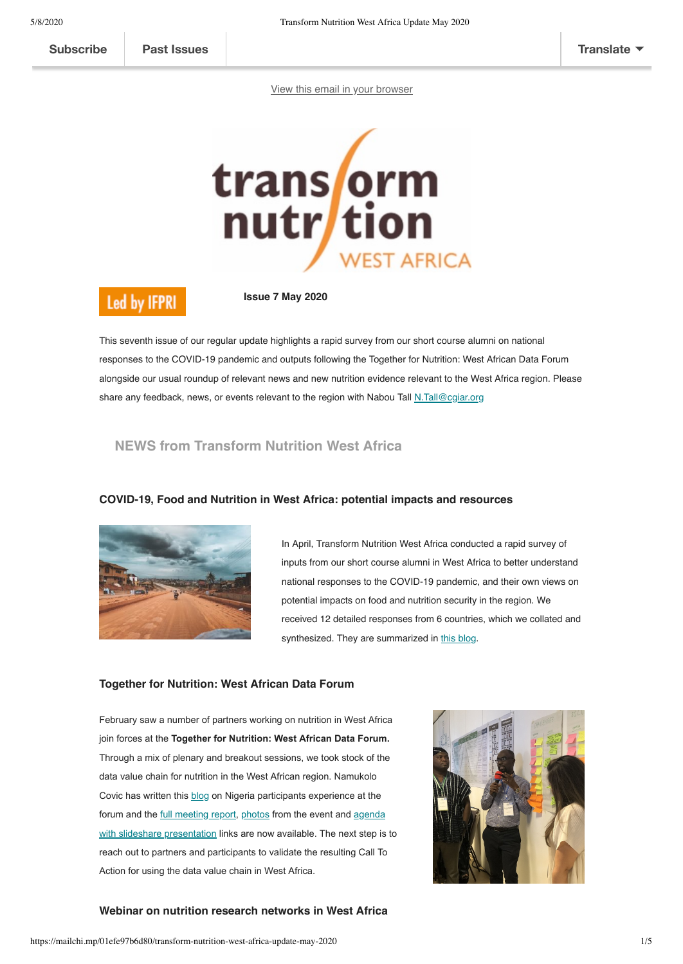[View this email in your browser](https://mailchi.mp/01efe97b6d80/transform-nutrition-west-africa-update-may-2020?e=[UNIQID])



# **Led by IFPRI**

**Issue 7 May 2020**

This seventh issue of our regular update highlights a rapid survey from our short course alumni on national responses to the COVID-19 pandemic and outputs following the Together for Nutrition: West African Data Forum alongside our usual roundup of relevant news and new nutrition evidence relevant to the West Africa region. Please share any feedback, news, or events relevant to the region with Nabou Tall [N.Tall@cgiar.org](mailto:N.Tall@cgiar.org)

# **NEWS from Transform Nutrition West Africa**



### **COVID-19, Food and Nutrition in West Africa: potential impacts and resources**

In April, Transform Nutrition West Africa conducted a rapid survey of inputs from our short course alumni in West Africa to better understand national responses to the COVID-19 pandemic, and their own views on potential impacts on food and nutrition security in the region. We received 12 detailed responses from 6 countries, which we collated and synthesized. They are summarized in [this blog](https://westafrica.transformnutrition.org/news/covid-19-food-and-nutrition-in-west-africa-potential-impacts-and-responses/).

#### **Together for Nutrition: West African Data Forum**

February saw a number of partners working on nutrition in West Africa join forces at the **Together for Nutrition: West African Data Forum.** Through a mix of plenary and breakout sessions, we took stock of the data value chain for nutrition in the West African region. Namukolo Covic has written this [blog](https://westafrica.transformnutrition.org/news/nigerian-experiences-shared-at-milestone-event-on-nutrition-action-in-west-africa/) on Nigeria participants experience at the forum and the [full meeting report,](https://westafrica.transformnutrition.org/wp-content/uploads/2020/04/T4N_Full-report_ENG_final.pdf) [photos](https://www.flickr.com/gp/187179287@N04/f27VZ1) from the event and agenda [with slideshare presentation links are now available. The next step is](https://westafrica.transformnutrition.org/wp-content/uploads/2020/04/agenda-with-presentation-urls.pdf) to reach out to partners and participants to validate the resulting Call To Action for using the data value chain in West Africa.



### **Webinar on nutrition research networks in West Africa**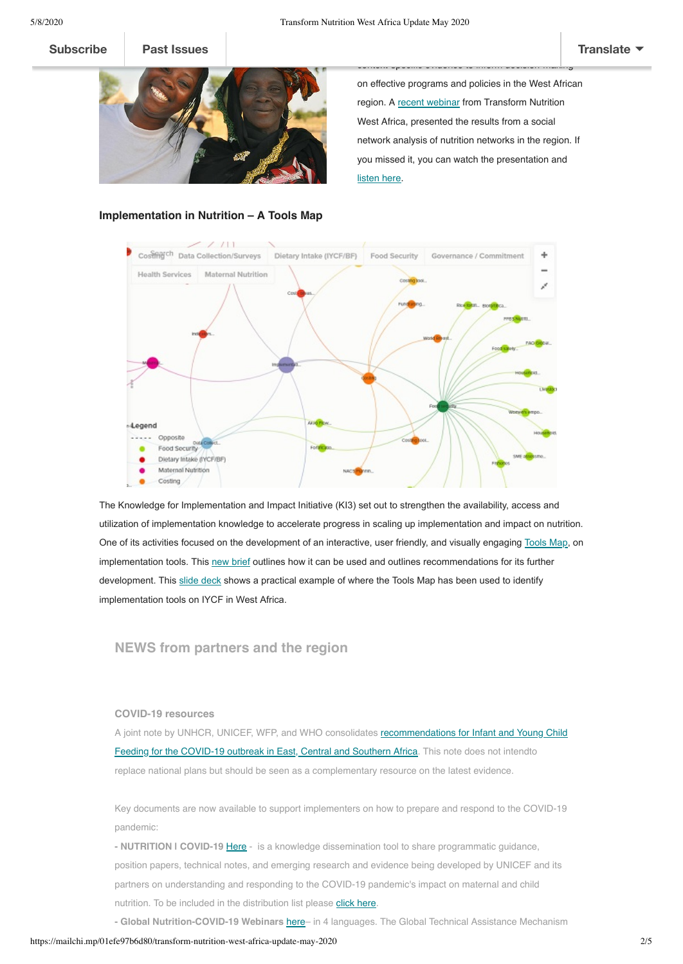on effective programs and policies in the West African region. A [recent webinar](https://westafrica.transformnutrition.org/event/tnwa-webinar-on-social-network-analysis/) from Transform Nutrition West Africa, presented the results from a social network analysis of nutrition networks in the region. If you missed it, you can watch the presentation and [listen here.](https://www.youtube.com/watch?v=vSPXAnc2b64&t=84s)

context-specific evidence to inform decision-making





The Knowledge for Implementation and Impact Initiative (KI3) set out to strengthen the availability, access and utilization of implementation knowledge to accelerate progress in scaling up implementation and impact on nutrition. One of its activities focused on the development of an interactive, user friendly, and visually engaging [Tools Map,](https://kumu.io/idsuk/implementation-science-tools#toolkit) on implementation tools. This [new brief](https://westafrica.transformnutrition.org/wp-content/uploads/2020/05/IB_2020_A4NH_Equity_web.pdf) outlines how it can be used and outlines recommendations for its further development. This [slide deck](https://www.slideshare.net/TransformNutritionWe/working-regionally-to-drive-change-in-nutrition-232747610) shows a practical example of where the Tools Map has been used to identify implementation tools on IYCF in West Africa.

**NEWS from partners and the region**

#### **COVID-19 resources**

[A joint note by UNHCR, UNICEF, WFP, and WHO consolidates recommendations for Infant and Young Child](https://www.unicef.org/southafrica/reports/infant-and-young-child-feeding-context-covid-19-eastern-central-and-southern-africa) Feeding for the COVID-19 outbreak in East, Central and Southern Africa. This note does not intendto replace national plans but should be seen as a complementary resource on the latest evidence.

Key documents are now available to support implementers on how to prepare and respond to the COVID-19 pandemic:

- **NUTRITION I COVID-19 [Here](https://mailchi.mp/e71a978c20e7/nutrition-covid-19-programme-briefs-available-in-multiple-languages-7835166?e=240e75cd31)** - is a knowledge dissemination tool to share programmatic guidance, position papers, technical notes, and emerging research and evidence being developed by UNICEF and its partners on understanding and responding to the COVID-19 pandemic's impact on maternal and child nutrition. To be included in the distribution list please [click here.](https://unicef.us14.list-manage.com/subscribe?u=fb1d9aabd6c823bef179830e9&id=e09036c2b5)

**- Global Nutrition-COVID-19 Webinars** [here](http://techrrt.org/2020/04/20/three-webinars-covid-iycf-covid-wasting-and-covid-nutrition-information-systems-in-arabic-english-french-and-spanish-coming-soon/)– in 4 languages. The Global Technical Assistance Mechanism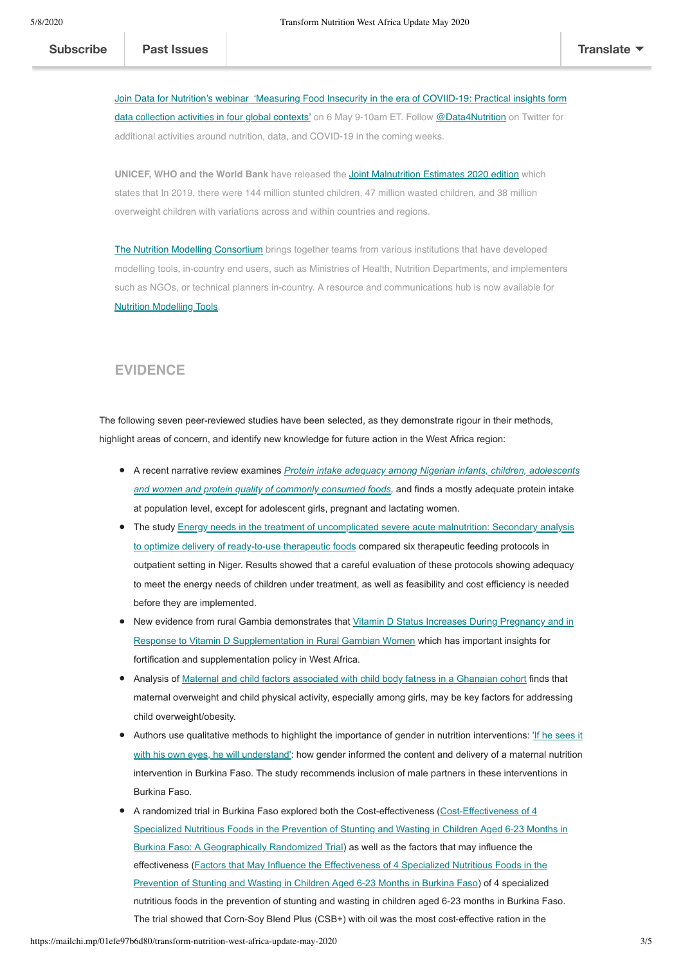[Join Data for Nutrition's webinar 'Measuring Food Insecurity in the era of COVIID-19: Practical insights form](https://datafornutrition.org/webinars/) data collection activities in four global contexts' on 6 May 9-10am ET. Follow [@Data4Nutrition](https://twitter.com/Data4Nutrition) on Twitter for additional activities around nutrition, data, and COVID-19 in the coming weeks.

wasting and nutrition information systems in the COVID-19 context, in English, French, Spanish and Arabic.

**UNICEF, WHO and the World Bank** have released the [Joint Malnutrition Estimates 2020 edition](https://data.unicef.org/resources/jme-report-2020/) which states that In 2019, there were 144 million stunted children, 47 million wasted children, and 38 million overweight children with variations across and within countries and regions.

[The Nutrition Modelling Consortium](https://www.nyas.org/programs/nutrition-modeling-consortium/) brings together teams from various institutions that have developed modelling tools, in-country end users, such as Ministries of Health, Nutrition Departments, and implementers such as NGOs, or technical planners in-country. A resource and communications hub is now available for [Nutrition Modelling Tools.](https://www.nyas.org/programs/nutrition-modeling-consortium/?tab=resources#h1)

### **EVIDENCE**

The following seven peer-reviewed studies have been selected, as they demonstrate rigour in their methods, highlight areas of concern, and identify new knowledge for future action in the West Africa region:

- A recent narrative review examines *[Protein intake adequacy among Nigerian infants, children, adolescents](https://www.ncbi.nlm.nih.gov/pubmed/31997732) and women and protein quality of commonly consumed foods,* and finds a mostly adequate protein intake at population level, except for adolescent girls, pregnant and lactating women.
- [The study Energy needs in the treatment of uncomplicated severe acute malnutrition: Secondary analysis](https://onlinelibrary.wiley.com/doi/full/10.1111/mcn.12989) to optimize delivery of ready-to-use therapeutic foods compared six therapeutic feeding protocols in outpatient setting in Niger. Results showed that a careful evaluation of these protocols showing adequacy to meet the energy needs of children under treatment, as well as feasibility and cost efficiency is needed before they are implemented.
- [New evidence from rural Gambia demonstrates that Vitamin D Status Increases During Pregnancy and in](https://academic.oup.com/jn/article/150/3/492/5675950) Response to Vitamin D Supplementation in Rural Gambian Women which has important insights for fortification and supplementation policy in West Africa.
- Analysis of [Maternal and child factors associated with child body fatness in a Ghanaian cohort](https://www.ncbi.nlm.nih.gov/pubmed/31340880) finds that maternal overweight and child physical activity, especially among girls, may be key factors for addressing child overweight/obesity.
- Authors use qualitative methods to highlight the importance of gender in nutrition interventions: If he sees it with his own eyes, he will understand': how gender informed the content and delivery of a maternal nutrition intervention in Burkina Faso. The study recommends inclusion of male partners in these interventions in Burkina Faso.
- A randomized trial in Burkina Faso explored both the Cost-effectiveness (Cost-Effectiveness of 4 [Specialized Nutritious Foods in the Prevention of Stunting and Wasting in Children Aged 6-23 Months in](https://academic.oup.com/cdn/article/4/2/nzaa006/5714749) Burkina Faso: A Geographically Randomized Trial) as well as the factors that may influence the [effectiveness \(Factors that May Influence the Effectiveness of 4 Specialized Nutritious Foods in the](https://www.ncbi.nlm.nih.gov/pmc/articles/PMC6981338/) Prevention of Stunting and Wasting in Children Aged 6-23 Months in Burkina Faso) of 4 specialized nutritious foods in the prevention of stunting and wasting in children aged 6-23 months in Burkina Faso. The trial showed that Corn-Soy Blend Plus (CSB+) with oil was the most cost-effective ration in the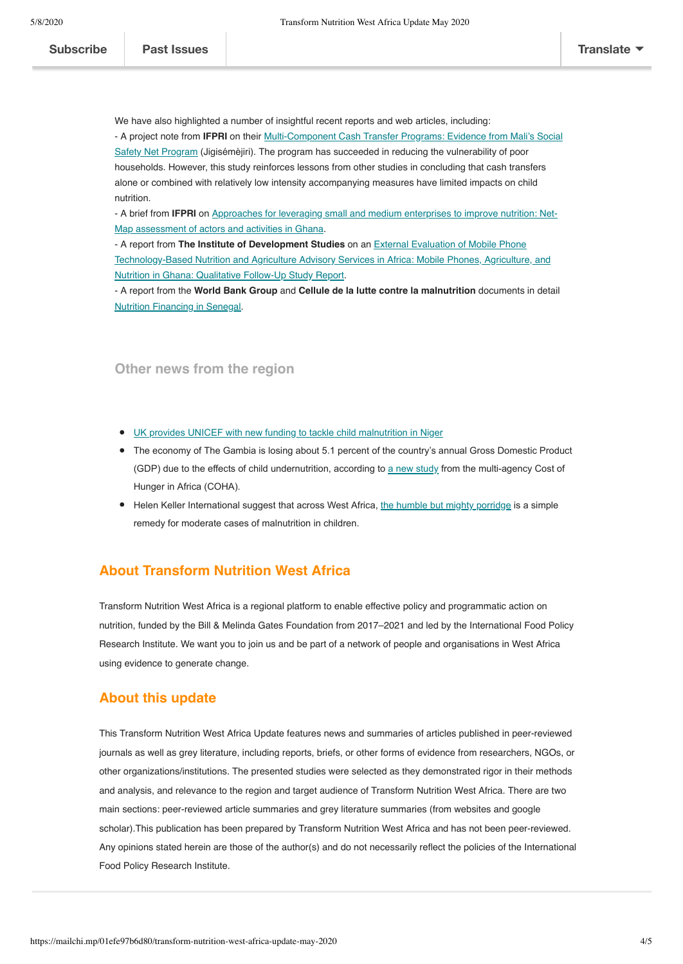nutritious foods were not prepared or served as intended and diversion from the recipient was common.

We have also highlighted a number of insightful recent reports and web articles, including: - A project note from **IFPRI** on their Multi-Component Cash Transfer Programs: Evidence from Mali's Social [Safety Net Program \(Jigisémèjiri\). The program has succeeded in reducing the vulnerability of poor](http://ebrary.ifpri.org/utils/getfile/collection/p15738coll2/id/133601/filename/133811.pdf) households. However, this study reinforces lessons from other studies in concluding that cash transfers alone or combined with relatively low intensity accompanying measures have limited impacts on child nutrition.

- A brief from **IFPRI** [on Approaches for leveraging small and medium enterprises to improve nutrition: Net-](https://www.ifpri.org/publication/approaches-leveraging-small-and-medium-enterprises-improve-nutrition-net-map-assessment)Map assessment of actors and activities in Ghana.

- A report from **The Institute of Development Studies** on an External Evaluation of Mobile Phone [Technology-Based Nutrition and Agriculture Advisory Services in Africa: Mobile Phones, Agriculture, and](https://opendocs.ids.ac.uk/opendocs/handle/20.500.12413/15142) Nutrition in Ghana: Qualitative Follow-Up Study Report.

- A report from the **World Bank Group** and **Cellule de la lutte contre la malnutrition** documents in detail [Nutrition Financing in Senegal](http://documents.albankaldawli.org/curated/ar/274251568924263961/pdf/Nutrition-Financing-in-Senegal.pdf).

## **Other news from the region**

- [UK provides UNICEF with new funding to tackle child malnutrition in Niger](https://scalingupnutrition.org/news/uk-provides-unicef-with-new-funding-to-tackle-child-malnutrition-in-niger/)
- The economy of The Gambia is losing about 5.1 percent of the country's annual Gross Domestic Product (GDP) due to the effects of child undernutrition, according to [a new study](https://scalingupnutrition.org/news/the-cost-of-malnutrition-for-the-gambias-economy/) from the multi-agency Cost of Hunger in Africa (COHA).
- Helen Keller International suggest that across West Africa, [the humble but mighty porridge](https://www.hki.org/the-humble-but-mighty-powers-of-porridge/) is a simple remedy for moderate cases of malnutrition in children.

# **About Transform Nutrition West Africa**

Transform Nutrition West Africa is a regional platform to enable effective policy and programmatic action on nutrition, funded by the Bill & Melinda Gates Foundation from 2017–2021 and led by the International Food Policy Research Institute. We want you to join us and be part of a network of people and organisations in West Africa using evidence to generate change.

# **About this update**

This Transform Nutrition West Africa Update features news and summaries of articles published in peer-reviewed journals as well as grey literature, including reports, briefs, or other forms of evidence from researchers, NGOs, or other organizations/institutions. The presented studies were selected as they demonstrated rigor in their methods and analysis, and relevance to the region and target audience of Transform Nutrition West Africa. There are two main sections: peer-reviewed article summaries and grey literature summaries (from websites and google scholar).This publication has been prepared by Transform Nutrition West Africa and has not been peer-reviewed. Any opinions stated herein are those of the author(s) and do not necessarily reflect the policies of the International Food Policy Research Institute.